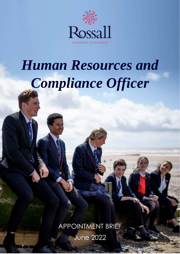

# *Human Resources and Compliance Officer*

## APPOINTMENT BRIEF June 2022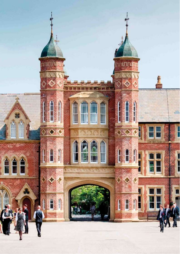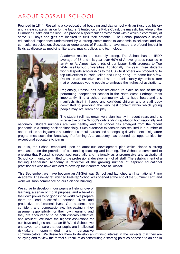## ABOUT ROSSALL SCHOOL

Founded in 1844, Rossall is a co-educational boarding and day school with an illustrious history and a clear strategic vision for the future. Situated on the Fylde Coast, the majestic backdrop of the Cumbrian Peaks and the Irish Sea provide a spectacular environment within which a community of some 800 boys and girls are inspired to fulfil their potential. The School provides a unique educational experience underpinned by a strong commitment to academic excellence and cocurricular participation. Successive generations of Rossallians have made a profound impact in fields as diverse as medicine, literature, music, politics and technology.



Academic results are superbly strong. The School has an IBDP average of 35 and this year over 60% of A level grades resulted in an A\* or A. Almost two thirds of our Upper Sixth progress to Top 20/Russell Group universities. Additionally, this year, three students won full sports scholarships to the US whilst others are proceeding to top universities in Paris, Milan and Hong Kong - to name but a few. Rossall is an inclusive school with an intellectually dynamic culture that encourages young people to embrace the highest of aspirations.

Regionally, Rossall has now reclaimed its place as one of the top performing independent schools in the North West. Perhaps, most importantly, it is a school community with a huge heart and this manifests itself in happy and confident children and a staff body committed to providing the very best context within which young people may live, learn and play.

The student roll has grown very significantly in recent years and this is reflective of the School's outstanding reputation both regionally and

nationally. Student numbers are very healthy and the school has emerged from the recent pandemic in a strong position financially. Such extensive expansion has resulted in a number of opportunities arising across a number of curricular areas and our ongoing development of signature programmes such the Broadway Performing Arts academy has opened up opportunities for exceptional educators to join us.

In 2019, the School embarked upon an ambitious development plan which placed a strong emphasis upon the provision of outstanding teaching and learning. The School is committed to ensuring that Rossall is recognised regionally and nationally as a progressive and aspirational School community committed to the professional development of all staff. The establishment of a thriving Leadership Academy is reflective of the growing number of aspirant educational practitioners who have decided to develop their careers here at Rossall.

This September, we have become an All-Steinway School and launched an International Piano Academy. The newly refurbished PrePrep School was opened at the end of the Summer Term and work will soon commence on our Science Building.

We strive to develop in our pupils a lifelong love of learning, a sense of moral purpose, and a belief in their own power to do good in the world. We prepare them to lead successful personal lives and productive professional lives. Our students are confident and compassionate. Increasingly they assume responsibility for their own learning and they are encouraged to be both critically reflective and resilient. We have the highest aspirations for our boys and girls and, as an IB World School, we endeavour to ensure that our pupils are intellectual risk-takers, open-minded and persuasive



communicators. We desire for them to develop an intrinsic interest in the subjects that they are studying and to view the formal curriculum as constituting a starting point as opposed to an end in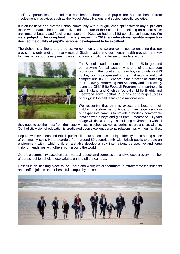itself. Opportunities for academic enrichment abound and pupils are able to benefit from involvement in activities such as the Model United Nations and subject specific societies.

It is an inclusive and diverse School community with a roughly even split between day pupils and those who board. The internationally-minded nature of the School is as defining an aspect as its architectural beauty and fascinating history. In 2021, we had a full ISI compliance inspection. **We were judged to be compliant in every regard. In 2019, an educational quality inspection deemed the quality of pupil's personal development to be excellent.**

The School is a liberal and progressive community and we are committed to ensuring that our provision is outstanding in every regard. Student voice and our mental health provision are key focuses within our development plan and it is our ambition to be sector leaders in this



The School is ranked number one in the UK for golf and our growing football academy is one of the standout provisions in the country. Both our boys and girls First XI hockey teams progressed to the final eight of national competitions in 2020. We are in the process of launching the Broadway Performing Arts Academy and our recently launched Girls' Elite Football Programme in partnership with England and Chelsea footballer Millie Bright, and Fleetwood Town Football Club has led to huge success of our girls' football teams on a national level.

We recognise that parents expect the best for their children; therefore we continue to invest significantly in our expansive campus to provide a modern, comfortable location where boys and girls from 3 months to 19 years of age will find a safe, yet stimulating environment with all

they need to get the most from their stay with us, in school as well as during leisure and social time. Our holistic vision of education is predicated upon excellent personal relationships with our families.

Popular with overseas and British pupils alike, our school has a unique identity and a strong sense of community spirit. Here, boarders from around 50 countries mix with British pupils to create an environment within which children are able develop a truly international perspective and forge lifelong friendships with others from around the world.

Ours is a community based on trust, mutual respect and compassion, and we expect every member of our school to uphold these values, on and off the campus.

Rossall is an inspiring place to live, learn and work; we are fortunate to attract fantastic students and staff to join us on our beautiful campus by the sea!

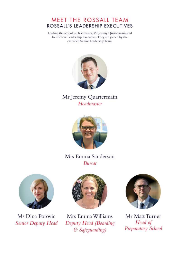## **MEET THE ROSSALL TEAM** ROSSALL'S LEADERSHIP EXECUTIVES

Leading the school is Headmaster, Mr Jeremy Quartermain, and four fellow Leadership Executives. They are joined by the extended Senior Leadership Team.



## Mr Jeremy Quartermain Headmaster



## Mrs Emma Sanderson **Bursar**



Ms Dina Porovic Senior Deputy Head



Mrs Emma Williams Deputy Head (Boarding & Safeguarding)



Mr Matt Turner Head of Preparatory School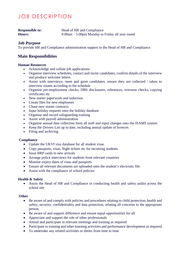## JOB DESCRIPTION

| <b>Responsible to:</b> | Head of HR and Compliance                         |
|------------------------|---------------------------------------------------|
| <b>Hours:</b>          | $9.00am - 5.00pm$ Monday to Friday all year round |

#### **Job Purpose**

To provide HR and Compliance administration support to the Head of HR and Compliance.

#### **Main Responsibilities**

#### **Human Resources**

- Acknowledge and collate job applications
- Organise interview schedules, contact and invite candidates, confirm details of the interview and produce welcome letters
- Assist with interviews; meet and greet candidates, ensure they are collected / taken to interview rooms according to the schedule
- Organise pre-employment checks; DBS disclosures, references, overseas checks, copying certificates etc
- New starter paperwork and induction
- Create files for new employees
- Chase new starter contracts
- Input holiday requests onto the holiday database
- Organise and record safeguarding training
- Assist with payroll administration
- Organise annual data collection from all staff and input changes onto the ISAMS system
- Keep the Drivers List up to date, including annual update of licences
- Filing and archiving

#### **Compliance**

- Update the UKVI visa database for all student visas
- Copy passports, visas, flight tickets etc for incoming students
- Issue BRP cards to new arrivals
- Arrange police interviews for students from relevant countries
- Monitor expiry dates of visas and passports
- Ensure all relevant documents are uploaded onto the student's electronic file
- Assist with the compliance of school policies

#### **Health & Safety**

 Assist the Head of HR and Compliance in conducting health and safety audits across the school site

#### **Other**

- Be aware of and comply with policies and procedures relating to child protection, health and safety, security, confidentiality and data protection, relating all concerns to the appropriate person.
- Be aware of and support difference and ensure equal opportunities for all
- Appreciate and support the role of other professionals
- Attend and participate in relevant meetings and training as required
- Participate in training and other learning activities and performance development as required
- To undertake any related activities or duties from time to time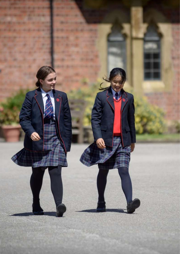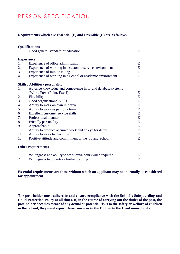## PERSON SPECIFICATION

#### **Requirements which are Essential (E) and Desirable (D) are as follows:**

### **Qualifications** 1. Good general standard of education E **Experience** 1. Experience of office administration E 2. Experience of working in a customer service environment E 3. Experience of minute taking D 4. Experience of working in a School or academic environment D **Skills / Abilities / personality** 1. Advance knowledge and competence in IT and database systems (Word, PowerPoint, Excel) E 2. Flexibility E 3. Good organisational skills E 4. Ability to work on own initiative E 5. Ability to work as part of a team E 6. Excellent customer service skills E<br>
T. Professional manner E 7. Professional manner 8. Friendly personality E 9. Approachable E 10. Ability to produce accurate work and an eye for detail E 11. Ability to work to deadlines E 12. Positive attitude and commitment to the job and School E **Other requirements** 1. Willingness and ability to work extra hours when required E 2. Willingness to undertake further training E

#### **Essential requirements are those without which an applicant may not normally be considered for appointment.**

**The post-holder must adhere to and ensure compliance with the School's Safeguarding and Child Protection Policy at all times. If, in the course of carrying out the duties of the post, the post-holder becomes aware of any actual or potential risks to the safety or welfare of children in the School, they must report those concerns to the DSL or to the Head immediately**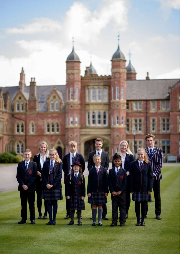